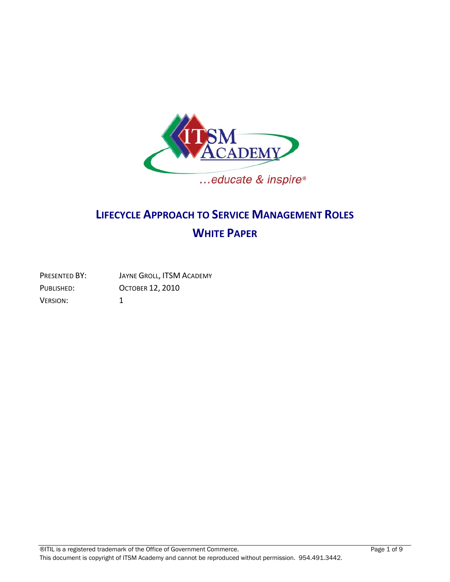

# **LIFECYCLE APPROACH TO SERVICE MANAGEMENT ROLES WHITE PAPER**

| PRESENTED BY: | JAYNE GROLL, ITSM ACADEMY |
|---------------|---------------------------|
| PUBLISHED:    | <b>OCTOBER 12, 2010</b>   |
| Version:      |                           |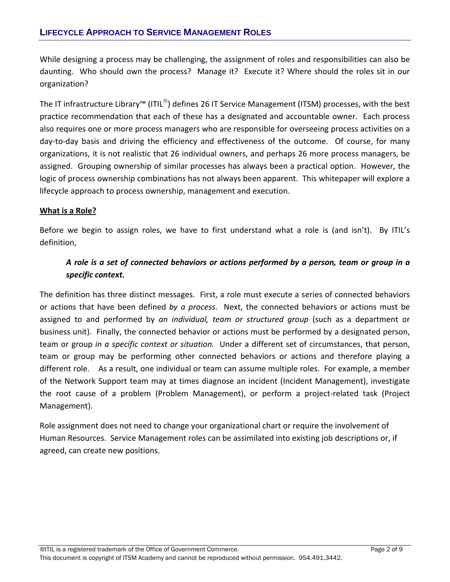While designing a process may be challenging, the assignment of roles and responsibilities can also be daunting. Who should own the process? Manage it? Execute it? Where should the roles sit in our organization?

The IT infrastructure Library™ (ITIL®) defines 26 IT Service Management (ITSM) processes, with the best practice recommendation that each of these has a designated and accountable owner. Each process also requires one or more process managers who are responsible for overseeing process activities on a day-to-day basis and driving the efficiency and effectiveness of the outcome. Of course, for many organizations, it is not realistic that 26 individual owners, and perhaps 26 more process managers, be assigned. Grouping ownership of similar processes has always been a practical option. However, the logic of process ownership combinations has not always been apparent. This whitepaper will explore a lifecycle approach to process ownership, management and execution.

# **What is a Role?**

Before we begin to assign roles, we have to first understand what a role is (and isn't). By ITIL's definition,

# *A role is a set of connected behaviors or actions performed by a person, team or group in a specific context.*

The definition has three distinct messages. First, a role must execute a series of connected behaviors or actions that have been defined *by a process*. Next, the connected behaviors or actions must be assigned to and performed by *an individual, team or structured group* (such as a department or business unit). Finally, the connected behavior or actions must be performed by a designated person, team or group *in a specific context or situation.* Under a different set of circumstances, that person, team or group may be performing other connected behaviors or actions and therefore playing a different role. As a result, one individual or team can assume multiple roles. For example, a member of the Network Support team may at times diagnose an incident (Incident Management), investigate the root cause of a problem (Problem Management), or perform a project-related task (Project Management).

Role assignment does not need to change your organizational chart or require the involvement of Human Resources. Service Management roles can be assimilated into existing job descriptions or, if agreed, can create new positions.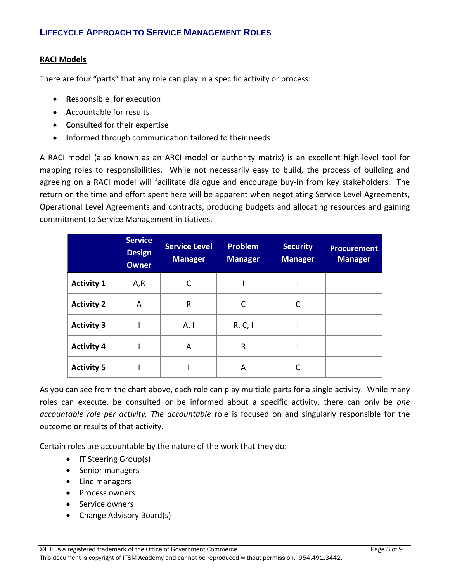# **RACI Models**

There are four "parts" that any role can play in a specific activity or process:

- **R**esponsible for execution
- **A**ccountable for results
- **C**onsulted for their expertise
- **I**nformed through communication tailored to their needs

A RACI model (also known as an ARCI model or authority matrix) is an excellent high‐level tool for mapping roles to responsibilities. While not necessarily easy to build, the process of building and agreeing on a RACI model will facilitate dialogue and encourage buy-in from key stakeholders. The return on the time and effort spent here will be apparent when negotiating Service Level Agreements, Operational Level Agreements and contracts, producing budgets and allocating resources and gaining commitment to Service Management initiatives.

|                   | <b>Service</b><br><b>Design</b><br><b>Owner</b> | <b>Service Level</b><br><b>Manager</b> | <b>Problem</b><br><b>Manager</b> | <b>Security</b><br><b>Manager</b> | <b>Procurement</b><br><b>Manager</b> |
|-------------------|-------------------------------------------------|----------------------------------------|----------------------------------|-----------------------------------|--------------------------------------|
| <b>Activity 1</b> | A,R                                             |                                        |                                  |                                   |                                      |
| <b>Activity 2</b> | A                                               | $\mathsf{R}$                           | C                                | C                                 |                                      |
| <b>Activity 3</b> |                                                 | A, I                                   | R, C, I                          |                                   |                                      |
| <b>Activity 4</b> |                                                 | A                                      | R                                |                                   |                                      |
| <b>Activity 5</b> |                                                 |                                        | A                                |                                   |                                      |

As you can see from the chart above, each role can play multiple parts for a single activity. While many roles can execute, be consulted or be informed about a specific activity, there can only be *one accountable role per activity. The accountable* role is focused on and singularly responsible for the outcome or results of that activity.

Certain roles are accountable by the nature of the work that they do:

- IT Steering Group(s)
- Senior managers
- Line managers
- Process owners
- Service owners
- Change Advisory Board(s)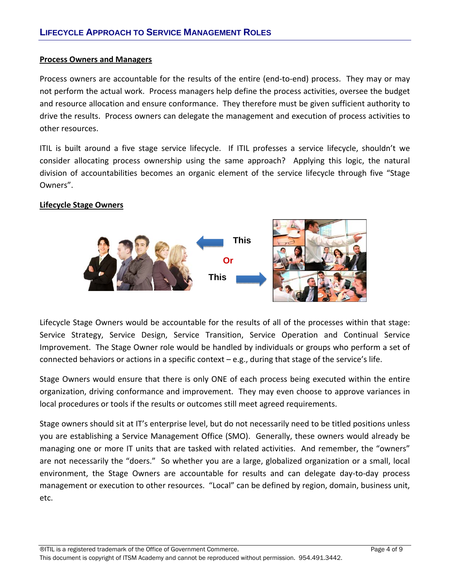## **Process Owners and Managers**

Process owners are accountable for the results of the entire (end-to-end) process. They may or may not perform the actual work. Process managers help define the process activities, oversee the budget and resource allocation and ensure conformance. They therefore must be given sufficient authority to drive the results. Process owners can delegate the management and execution of process activities to other resources.

ITIL is built around a five stage service lifecycle. If ITIL professes a service lifecycle, shouldn't we consider allocating process ownership using the same approach? Applying this logic, the natural division of accountabilities becomes an organic element of the service lifecycle through five "Stage Owners".

# **Lifecycle Stage Owners**



Lifecycle Stage Owners would be accountable for the results of all of the processes within that stage: Service Strategy, Service Design, Service Transition, Service Operation and Continual Service Improvement. The Stage Owner role would be handled by individuals or groups who perform a set of connected behaviors or actions in a specific context – e.g., during that stage of the service's life.

Stage Owners would ensure that there is only ONE of each process being executed within the entire organization, driving conformance and improvement. They may even choose to approve variances in local procedures or tools if the results or outcomes still meet agreed requirements.

Stage owners should sit at IT's enterprise level, but do not necessarily need to be titled positions unless you are establishing a Service Management Office (SMO). Generally, these owners would already be managing one or more IT units that are tasked with related activities. And remember, the "owners" are not necessarily the "doers." So whether you are a large, globalized organization or a small, local environment, the Stage Owners are accountable for results and can delegate day‐to‐day process management or execution to other resources. "Local" can be defined by region, domain, business unit, etc.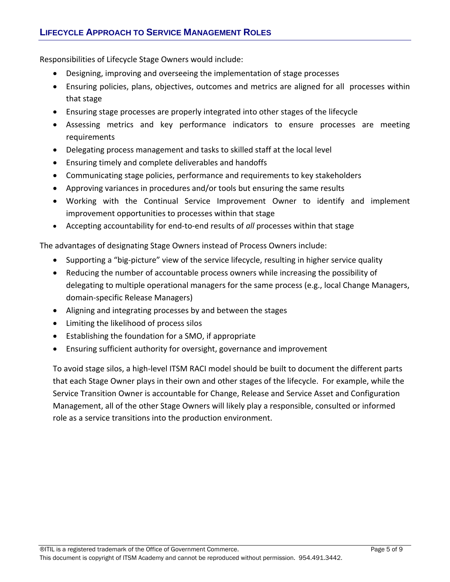Responsibilities of Lifecycle Stage Owners would include:

- Designing, improving and overseeing the implementation of stage processes
- Ensuring policies, plans, objectives, outcomes and metrics are aligned for all processes within that stage
- Ensuring stage processes are properly integrated into other stages of the lifecycle
- Assessing metrics and key performance indicators to ensure processes are meeting requirements
- Delegating process management and tasks to skilled staff at the local level
- Ensuring timely and complete deliverables and handoffs
- Communicating stage policies, performance and requirements to key stakeholders
- Approving variances in procedures and/or tools but ensuring the same results
- Working with the Continual Service Improvement Owner to identify and implement improvement opportunities to processes within that stage
- Accepting accountability for end‐to‐end results of *all* processes within that stage

The advantages of designating Stage Owners instead of Process Owners include:

- Supporting a "big‐picture" view of the service lifecycle, resulting in higher service quality
- Reducing the number of accountable process owners while increasing the possibility of delegating to multiple operational managers for the same process (e.g., local Change Managers, domain‐specific Release Managers)
- Aligning and integrating processes by and between the stages
- Limiting the likelihood of process silos
- Establishing the foundation for a SMO, if appropriate
- Ensuring sufficient authority for oversight, governance and improvement

To avoid stage silos, a high‐level ITSM RACI model should be built to document the different parts that each Stage Owner plays in their own and other stages of the lifecycle. For example, while the Service Transition Owner is accountable for Change, Release and Service Asset and Configuration Management, all of the other Stage Owners will likely play a responsible, consulted or informed role as a service transitions into the production environment.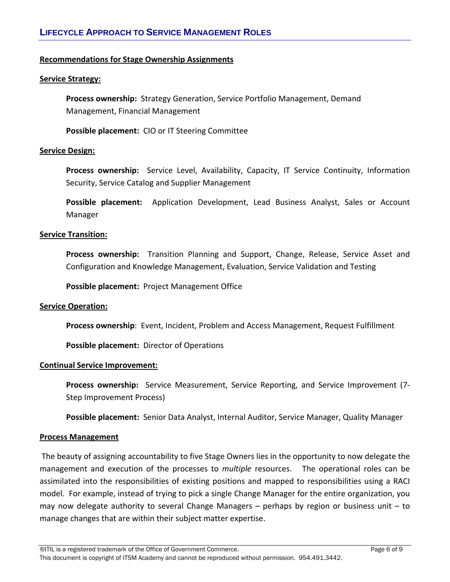## **Recommendations for Stage Ownership Assignments**

#### **Service Strategy:**

**Process ownership:** Strategy Generation, Service Portfolio Management, Demand Management, Financial Management

**Possible placement:** CIO or IT Steering Committee

#### **Service Design:**

**Process ownership:**  Service Level, Availability, Capacity, IT Service Continuity, Information Security, Service Catalog and Supplier Management

Possible placement: Application Development, Lead Business Analyst, Sales or Account Manager

#### **Service Transition:**

Process ownership: Transition Planning and Support, Change, Release, Service Asset and Configuration and Knowledge Management, Evaluation, Service Validation and Testing

**Possible placement: Project Management Office** 

#### **Service Operation:**

**Process ownership**: Event, Incident, Problem and Access Management, Request Fulfillment

**Possible placement:** Director of Operations

#### **Continual Service Improvement:**

**Process ownership:**  Service Measurement, Service Reporting, and Service Improvement (7‐ Step Improvement Process)

**Possible placement:** Senior Data Analyst, Internal Auditor, Service Manager, Quality Manager

#### **Process Management**

The beauty of assigning accountability to five Stage Owners lies in the opportunity to now delegate the management and execution of the processes to *multiple* resources. The operational roles can be assimilated into the responsibilities of existing positions and mapped to responsibilities using a RACI model. For example, instead of trying to pick a single Change Manager for the entire organization, you may now delegate authority to several Change Managers – perhaps by region or business unit – to manage changes that are within their subject matter expertise.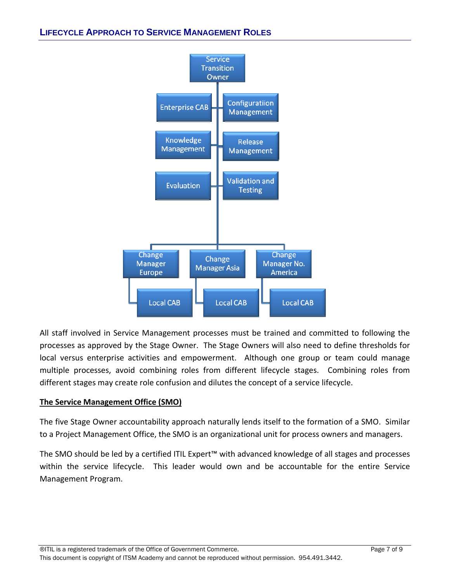

All staff involved in Service Management processes must be trained and committed to following the processes as approved by the Stage Owner. The Stage Owners will also need to define thresholds for local versus enterprise activities and empowerment. Although one group or team could manage multiple processes, avoid combining roles from different lifecycle stages. Combining roles from different stages may create role confusion and dilutes the concept of a service lifecycle.

# **The Service Management Office (SMO)**

The five Stage Owner accountability approach naturally lends itself to the formation of a SMO. Similar to a Project Management Office, the SMO is an organizational unit for process owners and managers.

The SMO should be led by a certified ITIL Expert™ with advanced knowledge of all stages and processes within the service lifecycle. This leader would own and be accountable for the entire Service Management Program.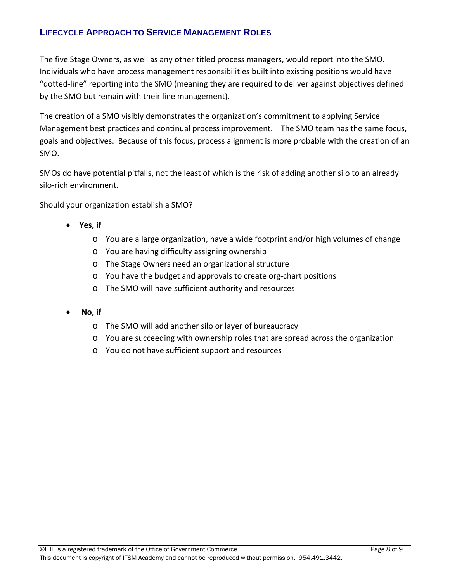The five Stage Owners, as well as any other titled process managers, would report into the SMO. Individuals who have process management responsibilities built into existing positions would have "dotted‐line" reporting into the SMO (meaning they are required to deliver against objectives defined by the SMO but remain with their line management).

The creation of a SMO visibly demonstrates the organization's commitment to applying Service Management best practices and continual process improvement. The SMO team has the same focus, goals and objectives. Because of this focus, process alignment is more probable with the creation of an SMO.

SMOs do have potential pitfalls, not the least of which is the risk of adding another silo to an already silo‐rich environment.

Should your organization establish a SMO?

- **Yes, if**
	- o You are a large organization, have a wide footprint and/or high volumes of change
	- o You are having difficulty assigning ownership
	- o The Stage Owners need an organizational structure
	- o You have the budget and approvals to create org‐chart positions
	- o The SMO will have sufficient authority and resources
- **No, if** 
	- o The SMO will add another silo or layer of bureaucracy
	- o You are succeeding with ownership roles that are spread across the organization
	- o You do not have sufficient support and resources